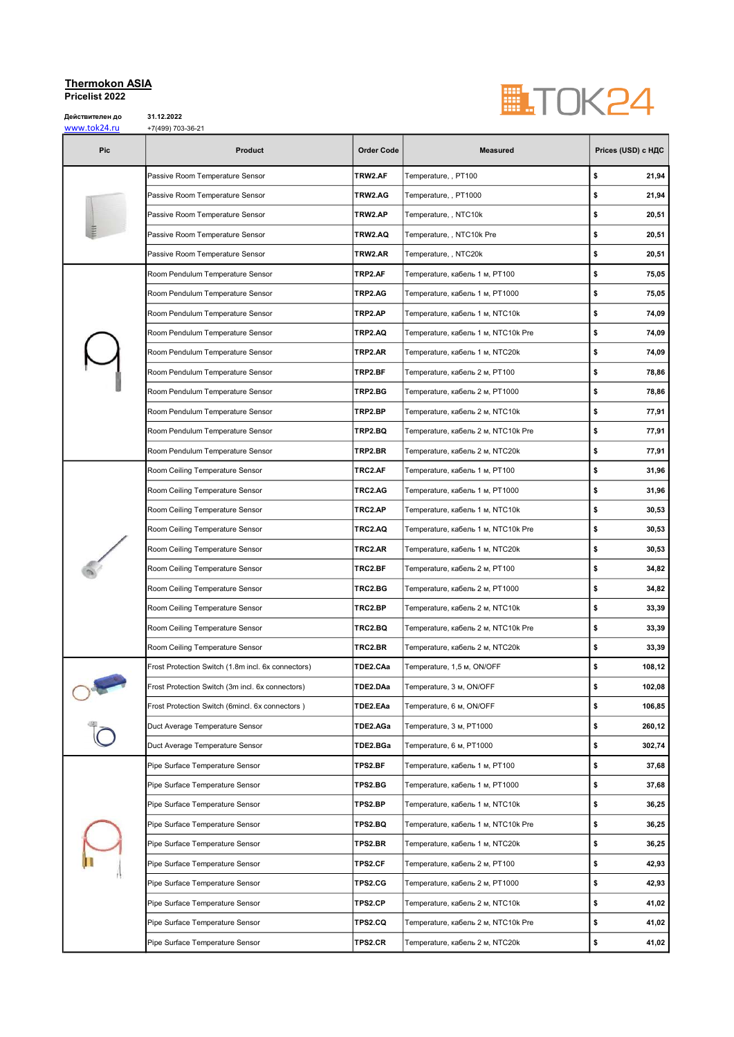## Thermokon ASIA Pricelist 2022

Действителен до<br>www.tok24.ru

31.12.2022<br>+7(499) 703-36-21



| www.tonz+.iu<br>Pic | <b>⊤7(</b> 499)7∪J∪−21<br><b>Product</b>           | <b>Order Code</b> | <b>Measured</b>                     | Prices (USD) с НДС |
|---------------------|----------------------------------------------------|-------------------|-------------------------------------|--------------------|
|                     | Passive Room Temperature Sensor                    | TRW2.AF           | Temperature, , PT100                | \$<br>21,94        |
|                     | Passive Room Temperature Sensor                    | TRW2.AG           | Temperature, , PT1000               | \$<br>21,94        |
|                     | Passive Room Temperature Sensor                    | TRW2.AP           | Temperature, , NTC10k               | \$<br>20,51        |
|                     | Passive Room Temperature Sensor                    | TRW2.AQ           | Temperature, , NTC10k Pre           | \$<br>20,51        |
|                     | Passive Room Temperature Sensor                    | TRW2.AR           | Temperature, , NTC20k               | \$<br>20,51        |
|                     | Room Pendulum Temperature Sensor                   | TRP2.AF           | Теmperature, кабель 1 м, PT100      | \$<br>75,05        |
|                     | Room Pendulum Temperature Sensor                   | TRP2.AG           | Теmperature, кабель 1 м, PT1000     | \$<br>75,05        |
|                     | Room Pendulum Temperature Sensor                   | TRP2.AP           | Теmperature, кабель 1 м, NTC10k     | \$<br>74,09        |
|                     | Room Pendulum Temperature Sensor                   | TRP2.AQ           | Теmperature, кабель 1 м, NTC10k Pre | \$<br>74,09        |
|                     | Room Pendulum Temperature Sensor                   | TRP2.AR           | Теmperature, кабель 1 м, NTC20k     | \$<br>74,09        |
|                     | Room Pendulum Temperature Sensor                   | TRP2.BF           | Теmperature, кабель 2 м, PT100      | \$<br>78,86        |
|                     | Room Pendulum Temperature Sensor                   | TRP2.BG           | Теmperature, кабель 2 м, PT1000     | \$<br>78,86        |
|                     | Room Pendulum Temperature Sensor                   | TRP2.BP           | Теmperature, кабель 2 м, NTC10k     | \$<br>77,91        |
|                     | Room Pendulum Temperature Sensor                   | TRP2.BQ           | Temperature, кабель 2 м, NTC10k Pre | \$<br>77,91        |
|                     | Room Pendulum Temperature Sensor                   | TRP2.BR           | Теmperature, кабель 2 м, NTC20k     | \$<br>77,91        |
|                     | Room Ceiling Temperature Sensor                    | TRC2.AF           | Теmperature, кабель 1 м, PT100      | \$<br>31,96        |
|                     | Room Ceiling Temperature Sensor                    | TRC2.AG           | Теmperature, кабель 1 м, PT1000     | \$<br>31,96        |
|                     | Room Ceiling Temperature Sensor                    | TRC2.AP           | Теmperature, кабель 1 м, NTC10k     | \$<br>30,53        |
|                     | Room Ceiling Temperature Sensor                    | TRC2.AQ           | Теmperature, кабель 1 м, NTC10k Pre | \$<br>30,53        |
|                     | Room Ceiling Temperature Sensor                    | TRC2.AR           | Тemperature, кабель 1 м, NTC20k     | \$<br>30,53        |
|                     | Room Ceiling Temperature Sensor                    | TRC2.BF           | Теmperature, кабель 2 м, PT100      | \$<br>34,82        |
|                     | Room Ceiling Temperature Sensor                    | TRC2.BG           | Теmperature, кабель 2 м, PT1000     | \$<br>34,82        |
|                     | Room Ceiling Temperature Sensor                    | TRC2.BP           | Temperature, кабель 2 м, NTC10k     | \$<br>33,39        |
|                     | Room Ceiling Temperature Sensor                    | TRC2.BQ           | Теmperature, кабель 2 м, NTC10k Pre | \$<br>33,39        |
|                     | Room Ceiling Temperature Sensor                    | TRC2.BR           | Теmperature, кабель 2 м, NTC20k     | \$<br>33,39        |
|                     | Frost Protection Switch (1.8m incl. 6x connectors) | TDE2.CAa          | Temperature, 1,5 м, ON/OFF          | \$<br>108,12       |
|                     | Frost Protection Switch (3m incl. 6x connectors)   | TDE2.DAa          | Temperature, 3 м, ON/OFF            | 102,08<br>\$       |
|                     | Frost Protection Switch (6mincl. 6x connectors)    | TDE2.EAa          | Temperature, 6 м, ON/OFF            | \$<br>106,85       |
|                     | Duct Average Temperature Sensor                    | TDE2.AGa          | Temperature, 3 м, PT1000            | \$<br>260,12       |
|                     | Duct Average Temperature Sensor                    | TDE2.BGa          | Temperature, 6 м, PT1000            | \$<br>302,74       |
|                     | Pipe Surface Temperature Sensor                    | TPS2.BF           | Теmperature, кабель 1 м, PT100      | \$<br>37,68        |
|                     | Pipe Surface Temperature Sensor                    | TPS2.BG           | Теmperature, кабель 1 м, PT1000     | \$<br>37,68        |
|                     | Pipe Surface Temperature Sensor                    | TPS2.BP           | Теmperature, кабель 1 м, NTC10k     | \$<br>36,25        |
|                     | Pipe Surface Temperature Sensor                    | <b>TPS2.BQ</b>    | Теmperature, кабель 1 м, NTC10k Pre | \$<br>36,25        |
|                     | Pipe Surface Temperature Sensor                    | TPS2.BR           | Temperature, кабель 1 м, NTC20k     | \$<br>36,25        |
|                     | Pipe Surface Temperature Sensor                    | TPS2.CF           | Теmperature, кабель 2 м, PT100      | \$<br>42,93        |
|                     | Pipe Surface Temperature Sensor                    | TPS2.CG           | Теmperature, кабель 2 м, PT1000     | \$<br>42,93        |
|                     | Pipe Surface Temperature Sensor                    | TPS2.CP           | Теmperature, кабель 2 м, NTC10k     | \$<br>41,02        |
|                     | Pipe Surface Temperature Sensor                    | TPS2.CQ           | Теmperature, кабель 2 м, NTC10k Pre | \$<br>41,02        |
|                     | Pipe Surface Temperature Sensor                    | TPS2.CR           | Теmperature, кабель 2 м, NTC20k     | \$<br>41,02        |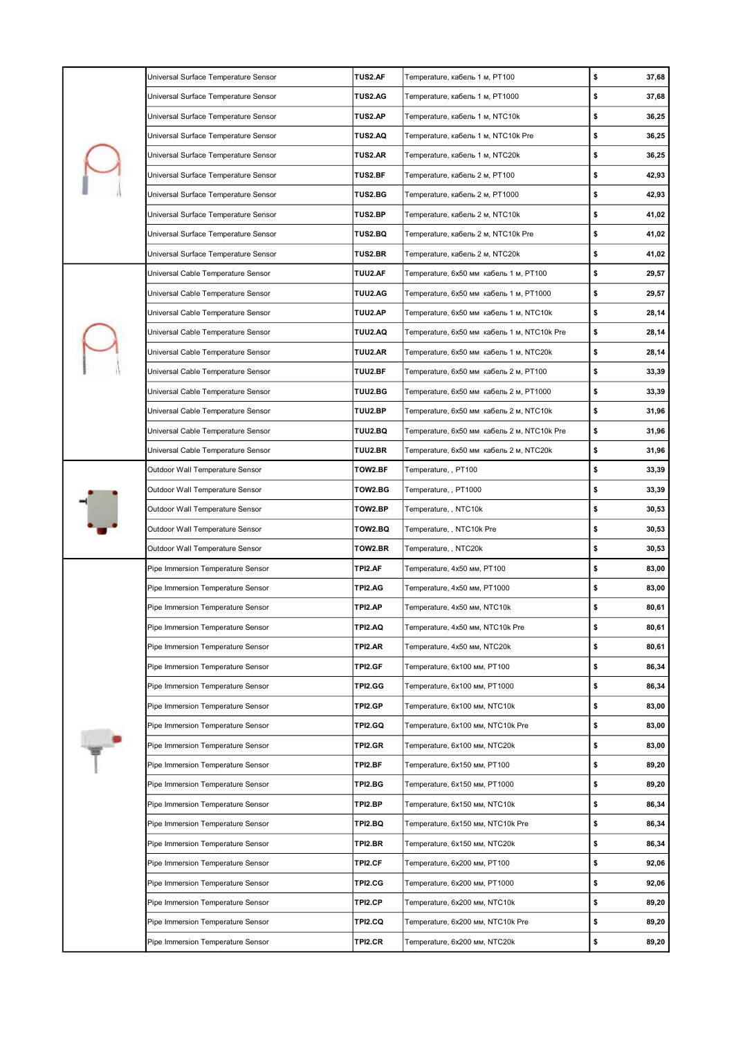|        | Universal Surface Temperature Sensor | <b>TUS2.AF</b> | Теmperature, кабель 1 м, PT100              | \$<br>37,68 |
|--------|--------------------------------------|----------------|---------------------------------------------|-------------|
|        | Universal Surface Temperature Sensor | <b>TUS2.AG</b> | Теmperature, кабель 1 м, PT1000             | \$<br>37,68 |
|        | Universal Surface Temperature Sensor | <b>TUS2.AP</b> | Теmperature, кабель 1 м, NTC10k             | \$<br>36,25 |
|        | Universal Surface Temperature Sensor | <b>TUS2.AQ</b> | Теmperature, кабель 1 м, NTC10k Pre         | \$<br>36,25 |
|        | Universal Surface Temperature Sensor | <b>TUS2.AR</b> | Temperature, кабель 1 м, NTC20k             | \$<br>36,25 |
|        | Universal Surface Temperature Sensor | TUS2.BF        | Теmperature, кабель 2 м, PT100              | \$<br>42,93 |
|        | Universal Surface Temperature Sensor | <b>TUS2.BG</b> | Теmperature, кабель 2 м, PT1000             | \$<br>42,93 |
|        | Universal Surface Temperature Sensor | TUS2.BP        | Теmperature, кабель 2 м, NTC10k             | \$<br>41,02 |
|        | Universal Surface Temperature Sensor | TUS2.BQ        | Теmperature, кабель 2 м, NTC10k Pre         | \$<br>41,02 |
|        | Universal Surface Temperature Sensor | <b>TUS2.BR</b> | Теmperature, кабель 2 м, NTC20k             | \$<br>41,02 |
|        | Universal Cable Temperature Sensor   | TUU2.AF        | Теmperature, 6x50 мм кабель 1 м, PT100      | \$<br>29,57 |
|        | Universal Cable Temperature Sensor   | TUU2.AG        | Теmperature, 6x50 мм кабель 1 м, PT1000     | \$<br>29,57 |
|        | Universal Cable Temperature Sensor   | TUU2.AP        | Temperature, 6x50 мм кабель 1 м, NTC10k     | \$<br>28,14 |
|        | Universal Cable Temperature Sensor   | TUU2.AQ        | Temperature, 6x50 мм кабель 1 м, NTC10k Pre | \$<br>28,14 |
|        | Universal Cable Temperature Sensor   | TUU2.AR        | Temperature, 6x50 мм кабель 1 м, NTC20k     | \$<br>28,14 |
|        | Universal Cable Temperature Sensor   | TUU2.BF        | Теmperature, 6x50 мм кабель 2 м, PT100      | \$<br>33,39 |
|        | Universal Cable Temperature Sensor   | TUU2.BG        | Temperature, 6x50 мм кабель 2 м, PT1000     | \$<br>33,39 |
|        | Universal Cable Temperature Sensor   | TUU2.BP        | Теmperature, 6x50 мм кабель 2 м, NTC10k     | \$<br>31,96 |
|        | Universal Cable Temperature Sensor   | TUU2.BQ        | Теmperature, 6x50 мм кабель 2 м, NTC10k Pre | \$<br>31,96 |
|        | Universal Cable Temperature Sensor   | TUU2.BR        | Теmperature, 6x50 мм кабель 2 м, NTC20k     | \$<br>31,96 |
|        | Outdoor Wall Temperature Sensor      | TOW2.BF        | Temperature, , PT100                        | \$<br>33,39 |
|        | Outdoor Wall Temperature Sensor      | TOW2.BG        | Temperature, , PT1000                       | \$<br>33,39 |
|        | Outdoor Wall Temperature Sensor      | TOW2.BP        | Temperature, , NTC10k                       | \$<br>30,53 |
|        | Outdoor Wall Temperature Sensor      | TOW2.BQ        | Temperature, , NTC10k Pre                   | \$<br>30,53 |
|        | Outdoor Wall Temperature Sensor      | TOW2.BR        | Temperature, , NTC20k                       | \$<br>30,53 |
|        | Pipe Immersion Temperature Sensor    | TPI2.AF        | Temperature, 4x50 мм, PT100                 | \$<br>83,00 |
|        | Pipe Immersion Temperature Sensor    | TPI2.AG        | Temperature, 4x50 мм, PT1000                | \$<br>83,00 |
|        | Pipe Immersion Temperature Sensor    | TPI2.AP        | Temperature, 4x50 мм, NTC10k                | \$<br>80,61 |
|        | Pipe Immersion Temperature Sensor    | TPI2.AQ        | Temperature, 4x50 мм, NTC10k Pre            | \$<br>80,61 |
|        | Pipe Immersion Temperature Sensor    | TPI2.AR        | Temperature, 4x50 мм, NTC20k                | \$<br>80,61 |
|        | Pipe Immersion Temperature Sensor    | TPI2.GF        | Temperature, 6x100 мм, PT100                | \$<br>86,34 |
|        | Pipe Immersion Temperature Sensor    | TPI2.GG        | Temperature, 6x100 мм, PT1000               | \$<br>86,34 |
|        | Pipe Immersion Temperature Sensor    | TPI2.GP        | Temperature, 6x100 мм, NTC10k               | \$<br>83,00 |
|        | Pipe Immersion Temperature Sensor    | <b>TPI2.GQ</b> | Temperature, 6x100 мм, NTC10k Pre           | \$<br>83,00 |
| $\ast$ | Pipe Immersion Temperature Sensor    | TPI2.GR        | Temperature, 6x100 мм, NTC20k               | \$<br>83,00 |
|        | Pipe Immersion Temperature Sensor    | TPI2.BF        | Temperature, 6x150 мм, PT100                | \$<br>89,20 |
|        | Pipe Immersion Temperature Sensor    | TPI2.BG        | Temperature, 6x150 мм, PT1000               | \$<br>89,20 |
|        | Pipe Immersion Temperature Sensor    | TPI2.BP        | Temperature, 6x150 мм, NTC10k               | \$<br>86,34 |
|        | Pipe Immersion Temperature Sensor    | TPI2.BQ        | Temperature, 6x150 мм, NTC10k Pre           | \$<br>86,34 |
|        | Pipe Immersion Temperature Sensor    | TPI2.BR        | Temperature, 6x150 мм, NTC20k               | \$<br>86,34 |
|        | Pipe Immersion Temperature Sensor    | TPI2.CF        | Temperature, 6x200 мм, PT100                | \$<br>92,06 |
|        | Pipe Immersion Temperature Sensor    | TPI2.CG        | Temperature, 6x200 мм, PT1000               | \$<br>92,06 |
|        | Pipe Immersion Temperature Sensor    | TPI2.CP        | Temperature, 6x200 мм, NTC10k               | \$<br>89,20 |
|        | Pipe Immersion Temperature Sensor    | TPI2.CQ        | Temperature, 6x200 мм, NTC10k Pre           | \$<br>89,20 |
|        | Pipe Immersion Temperature Sensor    | TPI2.CR        | Temperature, 6x200 мм, NTC20k               | \$<br>89,20 |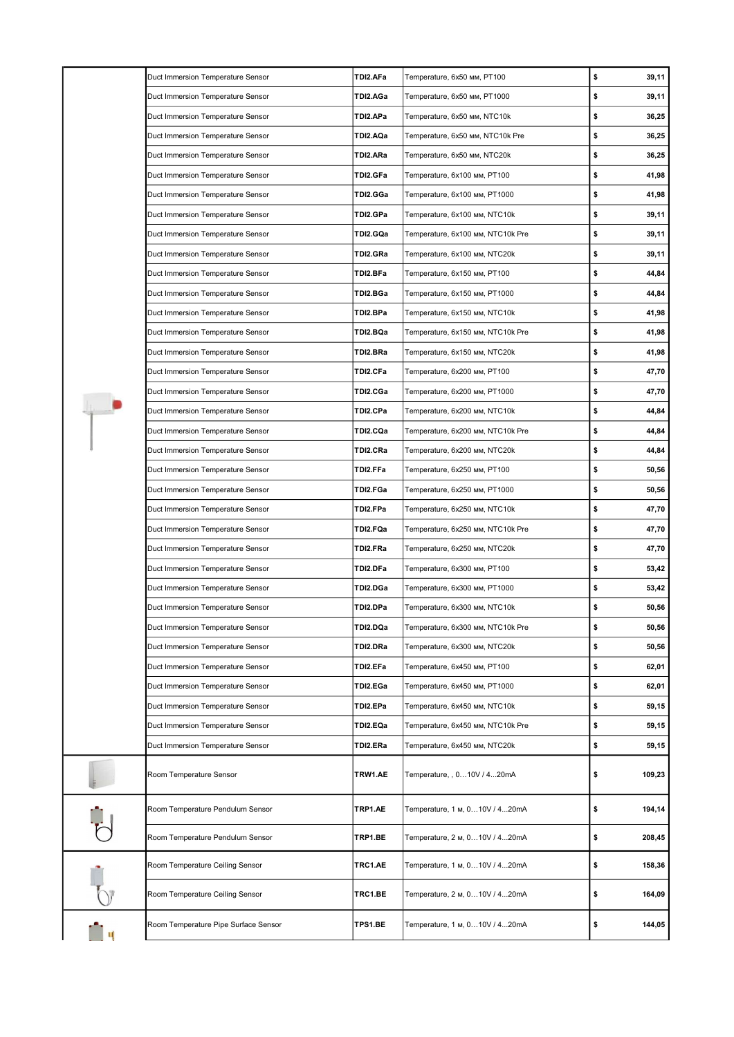|  | Duct Immersion Temperature Sensor    | TDI2.AFa | Temperature, 6x50 мм, PT100       | \$<br>39,11  |
|--|--------------------------------------|----------|-----------------------------------|--------------|
|  | Duct Immersion Temperature Sensor    | TDI2.AGa | Temperature, 6x50 мм, PT1000      | \$<br>39,11  |
|  | Duct Immersion Temperature Sensor    | TDI2.APa | Temperature, 6x50 мм, NTC10k      | \$<br>36,25  |
|  | Duct Immersion Temperature Sensor    | TDI2.AQa | Temperature, 6x50 мм, NTC10k Pre  | \$<br>36,25  |
|  | Duct Immersion Temperature Sensor    | TDI2.ARa | Temperature, 6x50 мм, NTC20k      | \$<br>36,25  |
|  | Duct Immersion Temperature Sensor    | TDI2.GFa | Temperature, 6x100 мм, PT100      | \$<br>41,98  |
|  | Duct Immersion Temperature Sensor    | TDI2.GGa | Temperature, 6x100 мм, PT1000     | \$<br>41,98  |
|  | Duct Immersion Temperature Sensor    | TDI2.GPa | Temperature, 6x100 мм, NTC10k     | \$<br>39,11  |
|  | Duct Immersion Temperature Sensor    | TDI2.GQa | Temperature, 6x100 мм, NTC10k Pre | \$<br>39,11  |
|  | Duct Immersion Temperature Sensor    | TDI2.GRa | Temperature, 6x100 мм, NTC20k     | \$<br>39,11  |
|  | Duct Immersion Temperature Sensor    | TDI2.BFa | Temperature, 6x150 мм, PT100      | \$<br>44,84  |
|  | Duct Immersion Temperature Sensor    | TDI2.BGa | Temperature, 6x150 мм, PT1000     | \$<br>44,84  |
|  | Duct Immersion Temperature Sensor    | TDI2.BPa | Temperature, 6x150 мм, NTC10k     | \$<br>41,98  |
|  | Duct Immersion Temperature Sensor    | TDI2.BQa | Temperature, 6x150 мм, NTC10k Pre | \$<br>41,98  |
|  | Duct Immersion Temperature Sensor    | TDI2.BRa | Temperature, 6x150 мм, NTC20k     | \$<br>41,98  |
|  | Duct Immersion Temperature Sensor    | TDI2.CFa | Temperature, 6x200 мм, PT100      | \$<br>47,70  |
|  | Duct Immersion Temperature Sensor    | TDI2.CGa | Temperature, 6x200 мм, PT1000     | \$<br>47,70  |
|  | Duct Immersion Temperature Sensor    | TDI2.CPa | Temperature, 6x200 мм, NTC10k     | \$<br>44,84  |
|  | Duct Immersion Temperature Sensor    | TDI2.CQa | Temperature, 6x200 мм, NTC10k Pre | \$<br>44,84  |
|  | Duct Immersion Temperature Sensor    | TDI2.CRa | Temperature, 6x200 мм, NTC20k     | \$<br>44,84  |
|  | Duct Immersion Temperature Sensor    | TDI2.FFa | Temperature, 6x250 мм, PT100      | \$<br>50,56  |
|  | Duct Immersion Temperature Sensor    | TDI2.FGa | Temperature, 6x250 мм, PT1000     | \$<br>50,56  |
|  | Duct Immersion Temperature Sensor    | TDI2.FPa | Temperature, 6x250 мм, NTC10k     | \$<br>47,70  |
|  | Duct Immersion Temperature Sensor    | TDI2.FQa | Temperature, 6x250 мм, NTC10k Pre | \$<br>47,70  |
|  | Duct Immersion Temperature Sensor    | TDI2.FRa | Temperature, 6x250 мм, NTC20k     | \$<br>47,70  |
|  | Duct Immersion Temperature Sensor    | TDI2.DFa | Temperature, 6x300 мм, PT100      | \$<br>53,42  |
|  | Duct Immersion Temperature Sensor    | TDI2.DGa | Temperature, 6x300 мм, PT1000     | \$<br>53,42  |
|  | Duct Immersion Temperature Sensor    | TDI2.DPa | Temperature, 6x300 мм, NTC10k     | \$<br>50,56  |
|  | Duct Immersion Temperature Sensor    | TDI2.DQa | Temperature, 6x300 мм, NTC10k Pre | \$<br>50,56  |
|  | Duct Immersion Temperature Sensor    | TDI2.DRa | Temperature, 6x300 мм, NTC20k     | \$<br>50,56  |
|  | Duct Immersion Temperature Sensor    | TDI2.EFa | Temperature, 6x450 мм, PT100      | \$<br>62,01  |
|  | Duct Immersion Temperature Sensor    | TDI2.EGa | Temperature, 6x450 мм, PT1000     | \$<br>62,01  |
|  | Duct Immersion Temperature Sensor    | TDI2.EPa | Temperature, 6x450 мм, NTC10k     | \$<br>59,15  |
|  | Duct Immersion Temperature Sensor    | TDI2.EQa | Temperature, 6x450 мм, NTC10k Pre | \$<br>59,15  |
|  | Duct Immersion Temperature Sensor    | TDI2.ERa | Temperature, 6x450 мм, NTC20k     | \$<br>59,15  |
|  | Room Temperature Sensor              | TRW1.AE  | Temperature, , 010V / 420mA       | \$<br>109,23 |
|  | Room Temperature Pendulum Sensor     | TRP1.AE  | Temperature, 1 м, 010V / 420mA    | \$<br>194,14 |
|  | Room Temperature Pendulum Sensor     | TRP1.BE  | Temperature, 2 м, 010V / 420mA    | \$<br>208,45 |
|  | Room Temperature Ceiling Sensor      | TRC1.AE  | Temperature, 1 м, 010V / 420mA    | \$<br>158,36 |
|  | Room Temperature Ceiling Sensor      | TRC1.BE  | Temperature, 2 м, 010V / 420mA    | \$<br>164,09 |
|  | Room Temperature Pipe Surface Sensor | TPS1.BE  | Temperature, 1 м, 010V / 420mA    | \$<br>144,05 |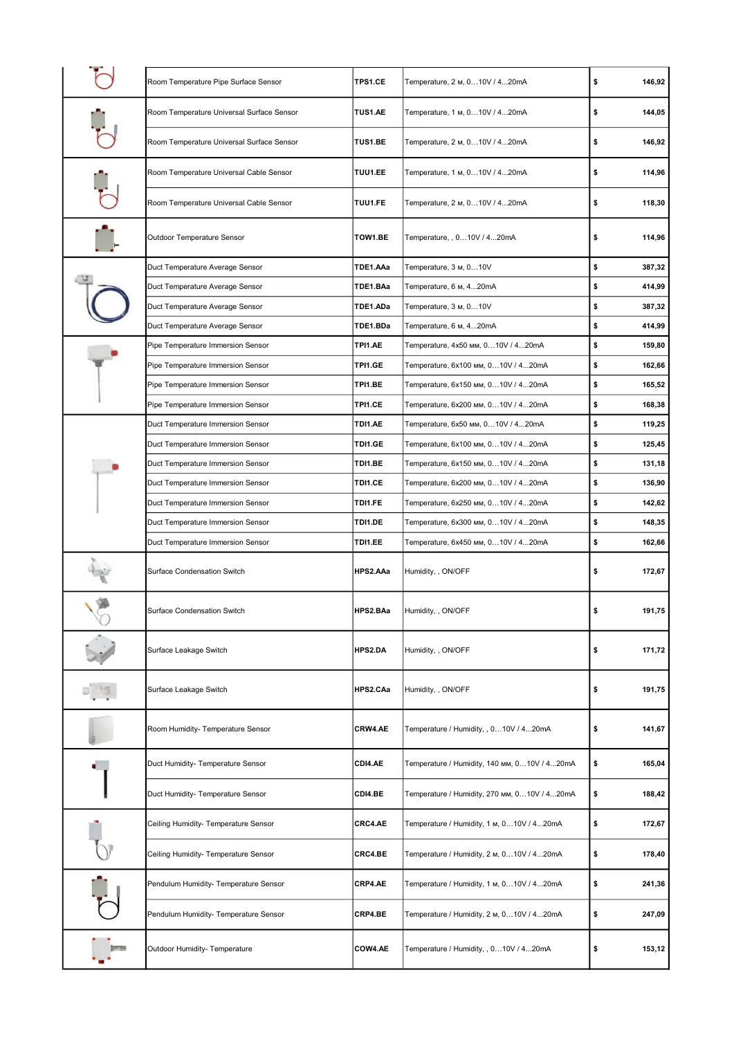| Room Temperature Pipe Surface Sensor                             | TPS1.CE            | Temperature, 2 м, 010V / 420mA                            | \$       | 146,92           |
|------------------------------------------------------------------|--------------------|-----------------------------------------------------------|----------|------------------|
| Room Temperature Universal Surface Sensor                        | TUS1.AE            | Temperature, 1 м, 010V / 420mA                            | \$       | 144,05           |
| Room Temperature Universal Surface Sensor                        | TUS1.BE            | Temperature, 2 м, 010V / 420mA                            | \$       | 146,92           |
| Room Temperature Universal Cable Sensor                          | TUU1.EE            | Temperature, 1 м, 010V / 420mA                            | \$       | 114,96           |
| Room Temperature Universal Cable Sensor                          | TUU1.FE            | Temperature, 2 м, 010V / 420mA                            | \$       | 118,30           |
| Outdoor Temperature Sensor                                       | TOW1.BE            | Temperature, , 010V / 420mA                               | \$       | 114,96           |
| Duct Temperature Average Sensor                                  | TDE1.AAa           | Temperature, 3 м, 0…10V                                   | \$       | 387,32           |
| Duct Temperature Average Sensor                                  | TDE1.BAa           | Temperature, 6 м, 420mA                                   | \$       | 414,99           |
| Duct Temperature Average Sensor                                  | TDE1.ADa           | Temperature, 3 м, 010V                                    | \$       | 387,32           |
| Duct Temperature Average Sensor                                  | TDE1.BDa           | Temperature, 6 м, 420mA                                   | \$       | 414,99           |
| Pipe Temperature Immersion Sensor                                | TPI1.AE            | Temperature, 4x50 мм, 010V / 420mA                        | \$       | 159,80           |
| Pipe Temperature Immersion Sensor                                | TPI1.GE            | Temperature, 6x100 мм, 010V / 420mA                       | \$       | 162,66           |
| Pipe Temperature Immersion Sensor                                | TPI1.BE            | Temperature, 6x150 мм, 010V / 420mA                       | \$       | 165,52           |
| Pipe Temperature Immersion Sensor                                | TPI1.CE            | Temperature, 6x200 мм, 010V / 420mA                       | \$       | 168,38           |
| Duct Temperature Immersion Sensor                                | TDI1.AE            | Temperature, 6x50 мм, 010V / 420mA                        | \$       | 119,25           |
| Duct Temperature Immersion Sensor                                | TDI1.GE            | Temperature, 6х100 мм, 010V / 420mA                       | \$       | 125,45           |
| Duct Temperature Immersion Sensor                                | TDI1.BE            | Temperature, 6x150 мм, 010V / 420mA                       | \$       | 131,18           |
| Duct Temperature Immersion Sensor                                | TDI1.CE            | Temperature, 6x200 мм, 010V / 420mA                       | \$       | 136,90           |
| Duct Temperature Immersion Sensor                                | TDI1.FE            | Temperature, 6x250 мм, 010V / 420mA                       | \$       | 142,62           |
|                                                                  |                    |                                                           |          |                  |
|                                                                  |                    |                                                           |          |                  |
| Duct Temperature Immersion Sensor                                | TDI1.DE<br>TDI1.EE | Temperature, 6x300 мм, 010V / 420mA                       | \$       | 148,35           |
| Duct Temperature Immersion Sensor<br>Surface Condensation Switch | HPS2.AAa           | Temperature, 6x450 мм, 010V / 420mA<br>Humidity, , ON/OFF | \$<br>\$ | 162,66<br>172,67 |
| <b>Surface Condensation Switch</b>                               | HPS2.BAa           | Humidity, , ON/OFF                                        | \$       | 191,75           |
| Surface Leakage Switch                                           | <b>HPS2.DA</b>     | Humidity, , ON/OFF                                        | \$       | 171,72           |
| Surface Leakage Switch                                           | HPS2.CAa           | Humidity, , ON/OFF                                        | \$       | 191,75           |
| Room Humidity- Temperature Sensor                                | CRW4.AE            | Temperature / Humidity, , 010V / 420mA                    | \$       | 141,67           |
| Duct Humidity- Temperature Sensor                                | CDI4.AE            | Temperature / Humidity, 140 мм, 010V / 420mA              | \$       | 165,04           |
| Duct Humidity- Temperature Sensor                                | CDI4.BE            | Temperature / Humidity, 270 мм, 010V / 420mA              | \$       | 188,42           |
| Ceiling Humidity- Temperature Sensor                             | CRC4.AE            | Temperature / Humidity, 1 м, 010V / 420mA                 | \$       | 172,67           |
| Ceiling Humidity- Temperature Sensor                             | CRC4.BE            | Temperature / Humidity, 2 m, 010V / 420mA                 | \$       | 178,40           |
| Pendulum Humidity- Temperature Sensor                            | CRP4.AE            | Temperature / Humidity, 1 м, 010V / 420mA                 | \$       | 241,36           |
| Pendulum Humidity- Temperature Sensor                            | CRP4.BE            | Temperature / Humidity, 2 м, 010V / 420mA                 | \$       | 247,09           |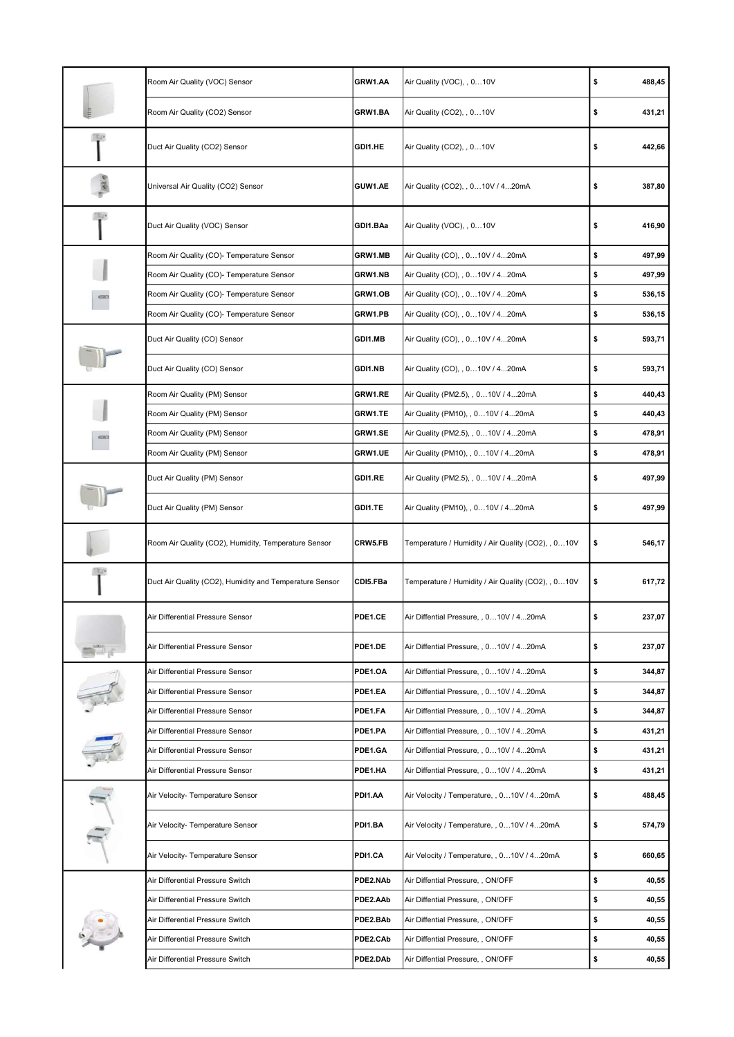|      | Room Air Quality (VOC) Sensor                           | GRW1.AA  | Air Quality (VOC), , 010V                          | \$<br>488,45 |
|------|---------------------------------------------------------|----------|----------------------------------------------------|--------------|
|      | Room Air Quality (CO2) Sensor                           | GRW1.BA  | Air Quality (CO2), , 010V                          | \$<br>431,21 |
|      | Duct Air Quality (CO2) Sensor                           | GDI1.HE  | Air Quality (CO2), , 010V                          | \$<br>442,66 |
|      | Universal Air Quality (CO2) Sensor                      | GUW1.AE  | Air Quality (CO2), , 010V / 420mA                  | \$<br>387,80 |
|      | Duct Air Quality (VOC) Sensor                           | GDI1.BAa | Air Quality (VOC), , 010V                          | \$<br>416,90 |
|      | Room Air Quality (CO)- Temperature Sensor               | GRW1.MB  | Air Quality (CO), , 010V / 420mA                   | \$<br>497,99 |
|      | Room Air Quality (CO)- Temperature Sensor               | GRW1.NB  | Air Quality (CO), , 010V / 420mA                   | \$<br>497,99 |
|      | Room Air Quality (CO)- Temperature Sensor               | GRW1.OB  | Air Quality (CO), , 010V / 420mA                   | \$<br>536,15 |
|      | Room Air Quality (CO)- Temperature Sensor               | GRW1.PB  | Air Quality (CO), , 010V / 420mA                   | \$<br>536,15 |
|      | Duct Air Quality (CO) Sensor                            | GDI1.MB  | Air Quality (CO), , 010V / 420mA                   | \$<br>593,71 |
|      | Duct Air Quality (CO) Sensor                            | GDI1.NB  | Air Quality (CO), , 010V / 420mA                   | \$<br>593,71 |
|      | Room Air Quality (PM) Sensor                            | GRW1.RE  | Air Quality (PM2.5), , 010V / 420mA                | \$<br>440,43 |
|      | Room Air Quality (PM) Sensor                            | GRW1.TE  | Air Quality (PM10), , 010V / 420mA                 | \$<br>440,43 |
| G(E) | Room Air Quality (PM) Sensor                            | GRW1.SE  | Air Quality (PM2.5), , 010V / 420mA                | \$<br>478,91 |
|      | Room Air Quality (PM) Sensor                            | GRW1.UE  | Air Quality (PM10), , 010V / 420mA                 | \$<br>478,91 |
|      | Duct Air Quality (PM) Sensor                            | GDI1.RE  | Air Quality (PM2.5), , 010V / 420mA                | \$<br>497,99 |
|      | Duct Air Quality (PM) Sensor                            | GDI1.TE  | Air Quality (PM10), , 010V / 420mA                 | \$<br>497,99 |
|      | Room Air Quality (CO2), Humidity, Temperature Sensor    | CRW5.FB  | Temperature / Humidity / Air Quality (CO2), , 010V | \$<br>546,17 |
|      | Duct Air Quality (CO2), Humidity and Temperature Sensor | CDI5.FBa | Temperature / Humidity / Air Quality (CO2), , 010V | \$<br>617,72 |
|      | Air Differential Pressure Sensor                        | PDE1.CE  | Air Diffential Pressure, , 010V / 420mA            | \$<br>237,07 |
|      | Air Differential Pressure Sensor                        | PDE1.DE  | Air Diffential Pressure, , 010V / 420mA            | \$<br>237,07 |
|      | Air Differential Pressure Sensor                        | PDE1.OA  | Air Diffential Pressure, , 010V / 420mA            | \$<br>344,87 |
|      | Air Differential Pressure Sensor                        | PDE1.EA  | Air Diffential Pressure, , 010V / 420mA            | \$<br>344,87 |
|      | Air Differential Pressure Sensor                        | PDE1.FA  | Air Diffential Pressure, , 010V / 420mA            | \$<br>344,87 |
|      | Air Differential Pressure Sensor                        | PDE1.PA  | Air Diffential Pressure, , 010V / 420mA            | \$<br>431,21 |
|      | Air Differential Pressure Sensor                        | PDE1.GA  | Air Diffential Pressure, , 010V / 420mA            | \$<br>431,21 |
|      | Air Differential Pressure Sensor                        | PDE1.HA  | Air Diffential Pressure, , 010V / 420mA            | \$<br>431,21 |
|      | Air Velocity- Temperature Sensor                        | PDI1.AA  | Air Velocity / Temperature, , 010V / 420mA         | \$<br>488,45 |
| A)   | Air Velocity- Temperature Sensor                        | PDI1.BA  | Air Velocity / Temperature, , 010V / 420mA         | \$<br>574,79 |
|      | Air Velocity- Temperature Sensor                        | PDI1.CA  | Air Velocity / Temperature, , 010V / 420mA         | \$<br>660,65 |
|      | Air Differential Pressure Switch                        | PDE2.NAb | Air Diffential Pressure, , ON/OFF                  | \$<br>40,55  |
|      | Air Differential Pressure Switch                        | PDE2.AAb | Air Diffential Pressure, , ON/OFF                  | \$<br>40,55  |
|      | Air Differential Pressure Switch                        | PDE2.BAb | Air Diffential Pressure, , ON/OFF                  | \$<br>40,55  |
|      | Air Differential Pressure Switch                        | PDE2.CAb | Air Diffential Pressure, , ON/OFF                  | \$<br>40,55  |
|      | Air Differential Pressure Switch                        | PDE2.DAb | Air Diffential Pressure, , ON/OFF                  | \$<br>40,55  |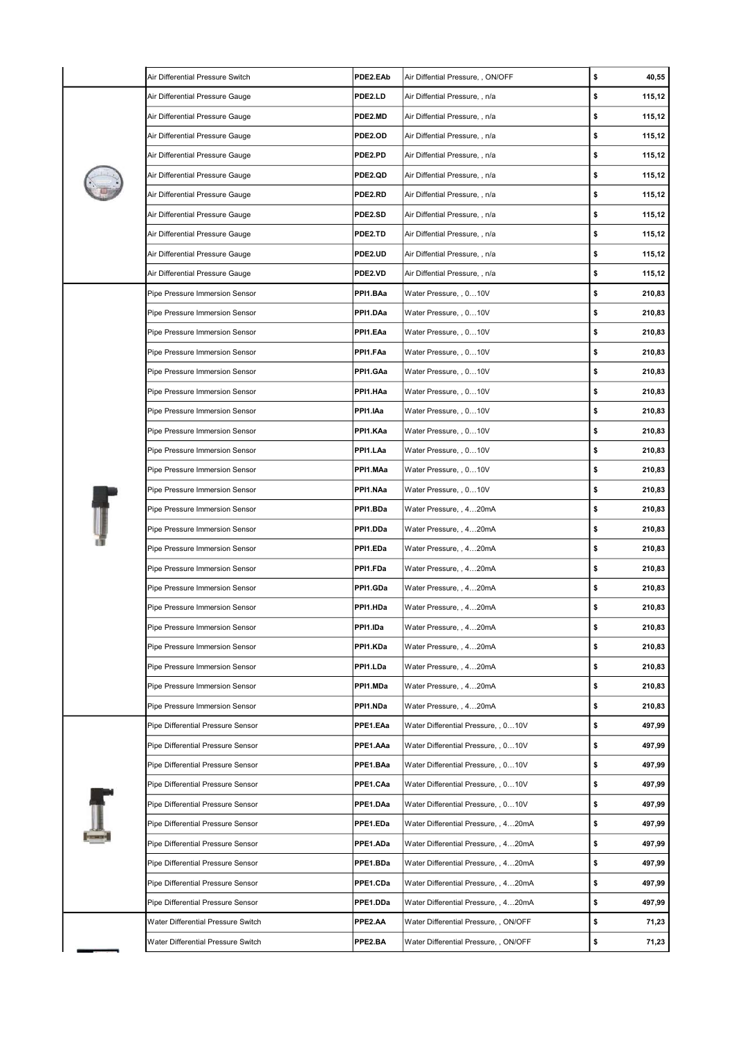| Air Differential Pressure Switch   | PDE2.EAb | Air Diffential Pressure, , ON/OFF     | \$<br>40,55  |
|------------------------------------|----------|---------------------------------------|--------------|
| Air Differential Pressure Gauge    | PDE2.LD  | Air Diffential Pressure, , n/a        | \$<br>115,12 |
| Air Differential Pressure Gauge    | PDE2.MD  | Air Diffential Pressure, , n/a        | \$<br>115,12 |
| Air Differential Pressure Gauge    | PDE2.OD  | Air Diffential Pressure, , n/a        | \$<br>115,12 |
| Air Differential Pressure Gauge    | PDE2.PD  | Air Diffential Pressure, , n/a        | \$<br>115,12 |
| Air Differential Pressure Gauge    | PDE2.QD  | Air Diffential Pressure, , n/a        | \$<br>115,12 |
| Air Differential Pressure Gauge    | PDE2.RD  | Air Diffential Pressure, , n/a        | \$<br>115,12 |
| Air Differential Pressure Gauge    | PDE2.SD  | Air Diffential Pressure, , n/a        | \$<br>115,12 |
| Air Differential Pressure Gauge    | PDE2.TD  | Air Diffential Pressure, , n/a        | \$<br>115,12 |
| Air Differential Pressure Gauge    | PDE2.UD  | Air Diffential Pressure, , n/a        | \$<br>115,12 |
| Air Differential Pressure Gauge    | PDE2.VD  | Air Diffential Pressure, , n/a        | \$<br>115,12 |
| Pipe Pressure Immersion Sensor     | PPI1.BAa | Water Pressure, , 0…10V               | \$<br>210,83 |
| Pipe Pressure Immersion Sensor     | PPI1.DAa | Water Pressure, , 0…10V               | \$<br>210,83 |
| Pipe Pressure Immersion Sensor     | PPI1.EAa | Water Pressure, , 010V                | \$<br>210,83 |
| Pipe Pressure Immersion Sensor     | PPI1.FAa | Water Pressure, , 010V                | \$<br>210,83 |
| Pipe Pressure Immersion Sensor     | PPI1.GAa | Water Pressure, , 0…10V               | \$<br>210,83 |
| Pipe Pressure Immersion Sensor     | PPI1.HAa | Water Pressure, , 010V                | \$<br>210,83 |
| Pipe Pressure Immersion Sensor     | PPI1.IAa | Water Pressure, , 010V                | \$<br>210,83 |
| Pipe Pressure Immersion Sensor     | PPI1.KAa | Water Pressure, , 010V                | \$<br>210,83 |
| Pipe Pressure Immersion Sensor     | PPI1.LAa | Water Pressure, , 010V                | \$<br>210,83 |
| Pipe Pressure Immersion Sensor     | PPI1.MAa | Water Pressure, , 010V                | \$<br>210,83 |
| Pipe Pressure Immersion Sensor     | PPI1.NAa | Water Pressure, , 0…10V               | \$<br>210,83 |
| Pipe Pressure Immersion Sensor     | PPI1.BDa | Water Pressure, , 420mA               | \$<br>210,83 |
| Pipe Pressure Immersion Sensor     | PPI1.DDa | Water Pressure, , 420mA               | \$<br>210,83 |
| Pipe Pressure Immersion Sensor     | PPI1.EDa | Water Pressure, , 4…20mA              | \$<br>210,83 |
| Pipe Pressure Immersion Sensor     | PPI1.FDa | Water Pressure, , 420mA               | \$<br>210,83 |
| Pipe Pressure Immersion Sensor     | PPI1.GDa | Water Pressure, , 420mA               | \$<br>210,83 |
| Pipe Pressure Immersion Sensor     | PPI1.HDa | Water Pressure, , 420mA               | \$<br>210,83 |
| Pipe Pressure Immersion Sensor     | PPI1.IDa | Water Pressure, , 420mA               | \$<br>210,83 |
| Pipe Pressure Immersion Sensor     | PPI1.KDa | Water Pressure, , 420mA               | \$<br>210,83 |
| Pipe Pressure Immersion Sensor     | PPI1.LDa | Water Pressure, , 4…20mA              | \$<br>210,83 |
| Pipe Pressure Immersion Sensor     | PPI1.MDa | Water Pressure, , 420mA               | \$<br>210,83 |
| Pipe Pressure Immersion Sensor     | PPI1.NDa | Water Pressure, , 420mA               | \$<br>210,83 |
| Pipe Differential Pressure Sensor  | PPE1.EAa | Water Differential Pressure, , 0…10V  | \$<br>497,99 |
| Pipe Differential Pressure Sensor  | PPE1.AAa | Water Differential Pressure, , 010V   | \$<br>497,99 |
| Pipe Differential Pressure Sensor  | PPE1.BAa | Water Differential Pressure, , 010V   | \$<br>497,99 |
| Pipe Differential Pressure Sensor  | PPE1.CAa | Water Differential Pressure, , 0…10V  | \$<br>497,99 |
| Pipe Differential Pressure Sensor  | PPE1.DAa | Water Differential Pressure, , 010V   | \$<br>497,99 |
| Pipe Differential Pressure Sensor  | PPE1.EDa | Water Differential Pressure, , 4…20mA | \$<br>497,99 |
| Pipe Differential Pressure Sensor  | PPE1.ADa | Water Differential Pressure, , 4…20mA | \$<br>497,99 |
| Pipe Differential Pressure Sensor  | PPE1.BDa | Water Differential Pressure, , 420mA  | \$<br>497,99 |
| Pipe Differential Pressure Sensor  | PPE1.CDa | Water Differential Pressure, , 420mA  | \$<br>497,99 |
| Pipe Differential Pressure Sensor  | PPE1.DDa | Water Differential Pressure, , 4…20mA | \$<br>497,99 |
| Water Differential Pressure Switch | PPE2.AA  | Water Differential Pressure, , ON/OFF | \$<br>71,23  |
| Water Differential Pressure Switch | PPE2.BA  | Water Differential Pressure, , ON/OFF | \$<br>71,23  |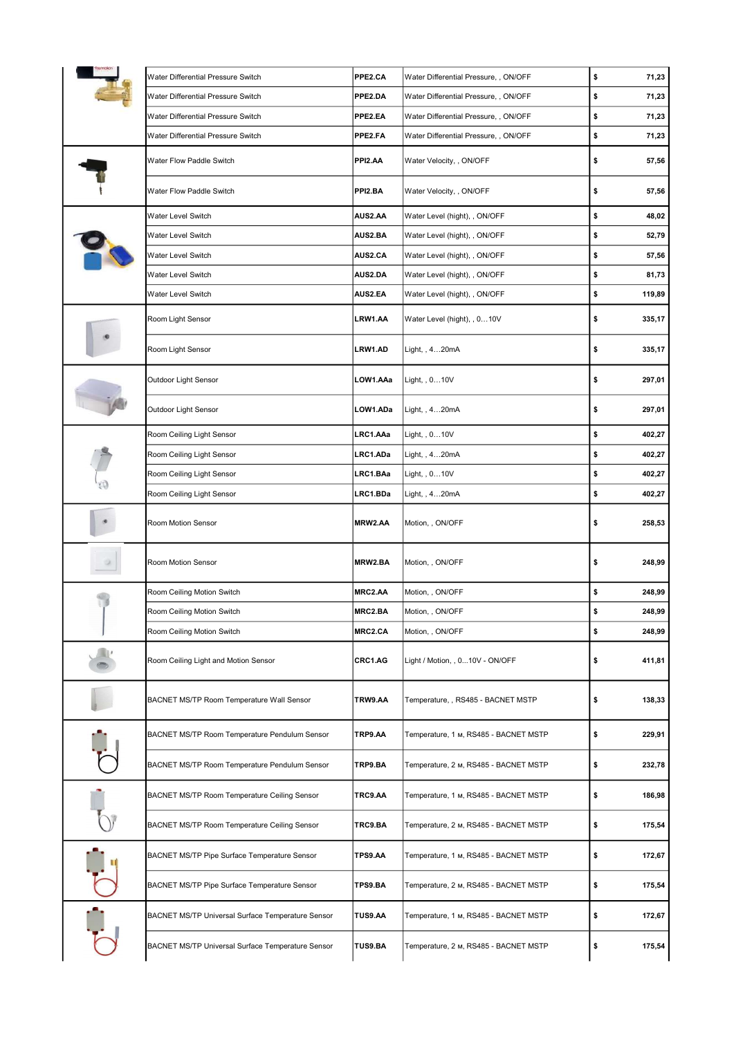| Water Differential Pressure Switch                | PPE2.CA        | Water Differential Pressure, , ON/OFF | \$<br>71,23  |
|---------------------------------------------------|----------------|---------------------------------------|--------------|
| Water Differential Pressure Switch                | PPE2.DA        | Water Differential Pressure, , ON/OFF | \$<br>71,23  |
| Water Differential Pressure Switch                | PPE2.EA        | Water Differential Pressure, , ON/OFF | \$<br>71,23  |
| Water Differential Pressure Switch                | PPE2.FA        | Water Differential Pressure, , ON/OFF | \$<br>71,23  |
| Water Flow Paddle Switch                          | PPI2.AA        | Water Velocity, , ON/OFF              | \$<br>57,56  |
| Water Flow Paddle Switch                          | PPI2.BA        | Water Velocity, , ON/OFF              | \$<br>57,56  |
| Water Level Switch                                | AUS2.AA        | Water Level (hight), , ON/OFF         | \$<br>48,02  |
| Water Level Switch                                | AUS2.BA        | Water Level (hight), , ON/OFF         | \$<br>52,79  |
| Water Level Switch                                | AUS2.CA        | Water Level (hight), , ON/OFF         | \$<br>57,56  |
| Water Level Switch                                | AUS2.DA        | Water Level (hight), , ON/OFF         | \$<br>81,73  |
| Water Level Switch                                | AUS2.EA        | Water Level (hight), , ON/OFF         | \$<br>119,89 |
| Room Light Sensor                                 | LRW1.AA        | Water Level (hight), , 010V           | \$<br>335,17 |
| Room Light Sensor                                 | LRW1.AD        | Light, , 420mA                        | \$<br>335,17 |
| Outdoor Light Sensor                              | LOW1.AAa       | Light, , 010V                         | \$<br>297,01 |
| Outdoor Light Sensor                              | LOW1.ADa       | Light, , 420mA                        | \$<br>297,01 |
| Room Ceiling Light Sensor                         | LRC1.AAa       | Light, , 010V                         | \$<br>402,27 |
| Room Ceiling Light Sensor                         | LRC1.ADa       | Light, , 4…20mA                       | \$<br>402,27 |
| Room Ceiling Light Sensor                         | LRC1.BAa       | Light, , 010V                         | \$<br>402,27 |
| Room Ceiling Light Sensor                         | LRC1.BDa       | Light, , 420mA                        | \$<br>402,27 |
| Room Motion Sensor                                | MRW2.AA        | Motion, , ON/OFF                      | \$<br>258,53 |
| Room Motion Sensor                                | MRW2.BA        | Motion, , ON/OFF                      | \$<br>248,99 |
| Room Ceiling Motion Switch                        | MRC2.AA        | Motion, , ON/OFF                      | \$<br>248,99 |
| Room Ceiling Motion Switch                        | MRC2.BA        | Motion, , ON/OFF                      | \$<br>248,99 |
| Room Ceiling Motion Switch                        | MRC2.CA        | Motion, , ON/OFF                      | \$<br>248,99 |
| Room Ceiling Light and Motion Sensor              | CRC1.AG        | Light / Motion, , 010V - ON/OFF       | \$<br>411,81 |
| BACNET MS/TP Room Temperature Wall Sensor         | TRW9.AA        | Temperature, , RS485 - BACNET MSTP    | \$<br>138,33 |
| BACNET MS/TP Room Temperature Pendulum Sensor     | TRP9.AA        | Temperature, 1 м, RS485 - BACNET MSTP | \$<br>229,91 |
| BACNET MS/TP Room Temperature Pendulum Sensor     | TRP9.BA        | Temperature, 2 м, RS485 - BACNET MSTP | \$<br>232,78 |
| BACNET MS/TP Room Temperature Ceiling Sensor      | TRC9.AA        | Temperature, 1 м, RS485 - BACNET MSTP | \$<br>186,98 |
| BACNET MS/TP Room Temperature Ceiling Sensor      | TRC9.BA        | Temperature, 2 м, RS485 - BACNET MSTP | \$<br>175,54 |
| BACNET MS/TP Pipe Surface Temperature Sensor      | TPS9.AA        | Temperature, 1 м, RS485 - BACNET MSTP | \$<br>172,67 |
| BACNET MS/TP Pipe Surface Temperature Sensor      | TPS9.BA        | Temperature, 2 м, RS485 - BACNET MSTP | \$<br>175,54 |
|                                                   |                |                                       | 172,67       |
| BACNET MS/TP Universal Surface Temperature Sensor | <b>TUS9.AA</b> | Temperature, 1 м, RS485 - BACNET MSTP | \$           |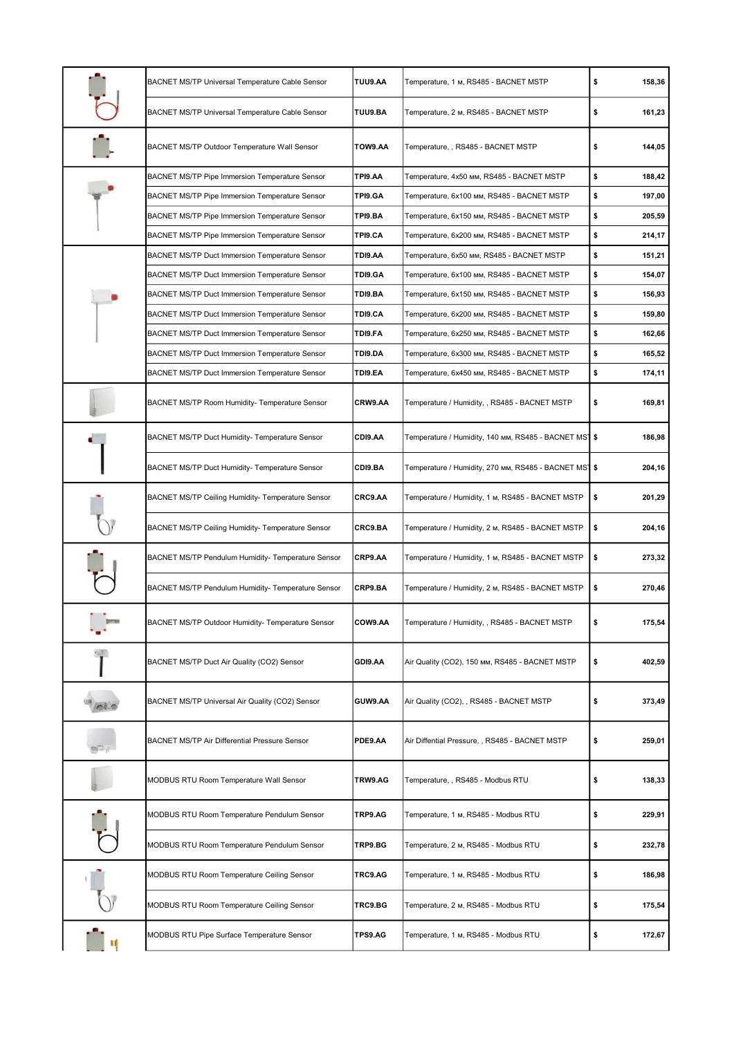|               | BACNET MS/TP Universal Temperature Cable Sensor        | <b>TUU9.AA</b> | Temperature, 1 м, RS485 - BACNET MSTP                 | \$<br>158,36 |
|---------------|--------------------------------------------------------|----------------|-------------------------------------------------------|--------------|
|               | <b>BACNET MS/TP Universal Temperature Cable Sensor</b> | TUU9.BA        | Temperature, 2 м, RS485 - BACNET MSTP                 | \$<br>161,23 |
|               | BACNET MS/TP Outdoor Temperature Wall Sensor           | TOW9.AA        | Temperature, , RS485 - BACNET MSTP                    | \$<br>144,05 |
|               | <b>BACNET MS/TP Pipe Immersion Temperature Sensor</b>  | TPI9.AA        | Temperature, 4x50 мм, RS485 - BACNET MSTP             | \$<br>188,42 |
|               | BACNET MS/TP Pipe Immersion Temperature Sensor         | TPI9.GA        | Temperature, 6x100 мм, RS485 - BACNET MSTP            | \$<br>197,00 |
|               | <b>BACNET MS/TP Pipe Immersion Temperature Sensor</b>  | TPI9.BA        | Temperature, 6x150 мм, RS485 - BACNET MSTP            | \$<br>205,59 |
|               | <b>BACNET MS/TP Pipe Immersion Temperature Sensor</b>  | TPI9.CA        | Temperature, 6x200 мм, RS485 - BACNET MSTP            | \$<br>214,17 |
|               | <b>BACNET MS/TP Duct Immersion Temperature Sensor</b>  | TDI9.AA        | Temperature, 6x50 мм, RS485 - BACNET MSTP             | \$<br>151,21 |
|               | <b>BACNET MS/TP Duct Immersion Temperature Sensor</b>  | TDI9.GA        | Temperature, 6x100 мм, RS485 - BACNET MSTP            | \$<br>154,07 |
|               | <b>BACNET MS/TP Duct Immersion Temperature Sensor</b>  | TDI9.BA        | Temperature, 6x150 мм, RS485 - BACNET MSTP            | \$<br>156,93 |
|               | <b>BACNET MS/TP Duct Immersion Temperature Sensor</b>  | TDI9.CA        | Temperature, 6x200 мм, RS485 - BACNET MSTP            | \$<br>159,80 |
|               | BACNET MS/TP Duct Immersion Temperature Sensor         | TDI9.FA        | Temperature, 6x250 мм, RS485 - BACNET MSTP            | \$<br>162,66 |
|               | <b>BACNET MS/TP Duct Immersion Temperature Sensor</b>  | TD19.DA        | Temperature, 6x300 мм, RS485 - BACNET MSTP            | \$<br>165,52 |
|               | <b>BACNET MS/TP Duct Immersion Temperature Sensor</b>  | TDI9.EA        | Temperature, 6x450 мм, RS485 - BACNET MSTP            | \$<br>174,11 |
|               | BACNET MS/TP Room Humidity- Temperature Sensor         | CRW9.AA        | Temperature / Humidity, , RS485 - BACNET MSTP         | \$<br>169,81 |
|               | BACNET MS/TP Duct Humidity- Temperature Sensor         | CDI9.AA        | Temperature / Humidity, 140 мм, RS485 - BACNET MS¶ \$ | 186,98       |
|               | BACNET MS/TP Duct Humidity- Temperature Sensor         | CDI9.BA        | Temperature / Humidity, 270 мм, RS485 - BACNET MS1 \$ | 204,16       |
|               | BACNET MS/TP Ceiling Humidity- Temperature Sensor      | CRC9.AA        | Temperature / Humidity, 1 м, RS485 - BACNET MSTP      | \$<br>201,29 |
|               | BACNET MS/TP Ceiling Humidity- Temperature Sensor      | CRC9.BA        | Temperature / Humidity, 2 м, RS485 - BACNET MSTP      | \$<br>204,16 |
|               | BACNET MS/TP Pendulum Humidity- Temperature Sensor     | CRP9.AA        | Temperature / Humidity, 1 м, RS485 - BACNET MSTP      | \$<br>273,32 |
|               | BACNET MS/TP Pendulum Humidity- Temperature Sensor     | CRP9.BA        | Temperature / Humidity, 2 м, RS485 - BACNET MSTP      | \$<br>270,46 |
|               | BACNET MS/TP Outdoor Humidity- Temperature Sensor      | COW9.AA        | Temperature / Humidity, , RS485 - BACNET MSTP         | \$<br>175,54 |
| $\frac{1}{2}$ | BACNET MS/TP Duct Air Quality (CO2) Sensor             | GDI9.AA        | Air Quality (CO2), 150 мм, RS485 - BACNET MSTP        | \$<br>402,59 |
|               | BACNET MS/TP Universal Air Quality (CO2) Sensor        | GUW9.AA        | Air Quality (CO2), , RS485 - BACNET MSTP              | \$<br>373,49 |
|               | BACNET MS/TP Air Differential Pressure Sensor          | PDE9.AA        | Air Diffential Pressure, , RS485 - BACNET MSTP        | \$<br>259,01 |
|               | MODBUS RTU Room Temperature Wall Sensor                | TRW9.AG        | Temperature, , RS485 - Modbus RTU                     | \$<br>138,33 |
|               | MODBUS RTU Room Temperature Pendulum Sensor            | TRP9.AG        | Temperature, 1 м, RS485 - Modbus RTU                  | \$<br>229,91 |
|               | MODBUS RTU Room Temperature Pendulum Sensor            | TRP9.BG        | Temperature, 2 м, RS485 - Modbus RTU                  | \$<br>232,78 |
|               | MODBUS RTU Room Temperature Ceiling Sensor             | TRC9.AG        | Temperature, 1 м, RS485 - Modbus RTU                  | \$<br>186,98 |
|               | MODBUS RTU Room Temperature Ceiling Sensor             | TRC9.BG        | Temperature, 2 м, RS485 - Modbus RTU                  | \$<br>175,54 |
|               | MODBUS RTU Pipe Surface Temperature Sensor             | TPS9.AG        | Temperature, 1 м, RS485 - Modbus RTU                  | \$<br>172,67 |